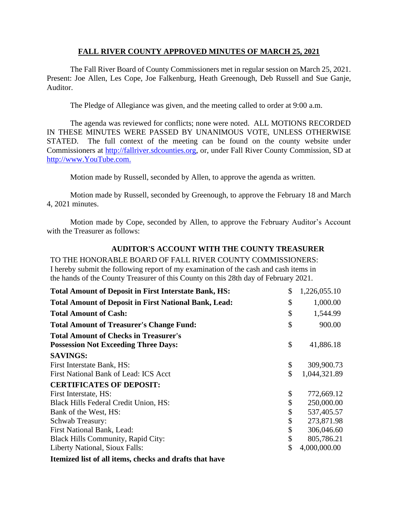### **FALL RIVER COUNTY APPROVED MINUTES OF MARCH 25, 2021**

The Fall River Board of County Commissioners met in regular session on March 25, 2021. Present: Joe Allen, Les Cope, Joe Falkenburg, Heath Greenough, Deb Russell and Sue Ganje, Auditor.

The Pledge of Allegiance was given, and the meeting called to order at 9:00 a.m.

The agenda was reviewed for conflicts; none were noted. ALL MOTIONS RECORDED IN THESE MINUTES WERE PASSED BY UNANIMOUS VOTE, UNLESS OTHERWISE STATED. The full context of the meeting can be found on the county website under Commissioners at [http://fallriver.sdcounties.org,](http://fallriver.sdcounties.org/) or, under Fall River County Commission, SD at [http://www.YouTube.com.](http://www.youtube.com/)

Motion made by Russell, seconded by Allen, to approve the agenda as written.

Motion made by Russell, seconded by Greenough, to approve the February 18 and March 4, 2021 minutes.

Motion made by Cope, seconded by Allen, to approve the February Auditor's Account with the Treasurer as follows:

# **AUDITOR'S ACCOUNT WITH THE COUNTY TREASURER**

# TO THE HONORABLE BOARD OF FALL RIVER COUNTY COMMISSIONERS:

I hereby submit the following report of my examination of the cash and cash items in the hands of the County Treasurer of this County on this 28th day of February 2021.

| <b>Total Amount of Deposit in First Interstate Bank, HS:</b> | \$<br>1,226,055.10 |
|--------------------------------------------------------------|--------------------|
| <b>Total Amount of Deposit in First National Bank, Lead:</b> | \$<br>1,000.00     |
| <b>Total Amount of Cash:</b>                                 | \$<br>1,544.99     |
| <b>Total Amount of Treasurer's Change Fund:</b>              | \$<br>900.00       |
| <b>Total Amount of Checks in Treasurer's</b>                 |                    |
| <b>Possession Not Exceeding Three Days:</b>                  | \$<br>41,886.18    |
| <b>SAVINGS:</b>                                              |                    |
| First Interstate Bank, HS:                                   | \$<br>309,900.73   |
| First National Bank of Lead: ICS Acct                        | \$<br>1,044,321.89 |
| <b>CERTIFICATES OF DEPOSIT:</b>                              |                    |
| First Interstate, HS:                                        | \$<br>772,669.12   |
| Black Hills Federal Credit Union, HS:                        | \$<br>250,000.00   |
| Bank of the West, HS:                                        | \$<br>537,405.57   |
| <b>Schwab Treasury:</b>                                      | \$<br>273,871.98   |
| First National Bank, Lead:                                   | \$<br>306,046.60   |
| <b>Black Hills Community, Rapid City:</b>                    | \$<br>805,786.21   |
| Liberty National, Sioux Falls:                               | \$<br>4,000,000.00 |
| Itemized list of all items, checks and drafts that have      |                    |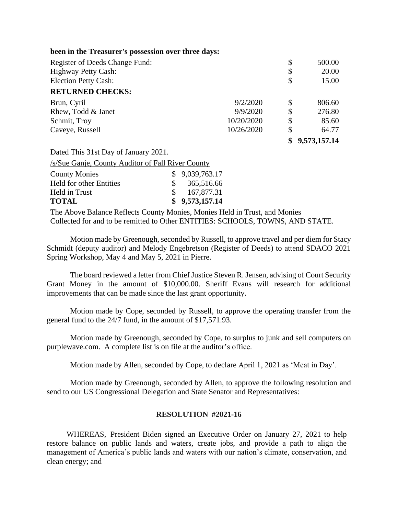| $\alpha$ and the Treasurer s possession over three days. |            |                |
|----------------------------------------------------------|------------|----------------|
| Register of Deeds Change Fund:                           |            | \$<br>500.00   |
| <b>Highway Petty Cash:</b>                               |            | \$<br>20.00    |
| <b>Election Petty Cash:</b>                              |            | \$<br>15.00    |
| <b>RETURNED CHECKS:</b>                                  |            |                |
| Brun, Cyril                                              | 9/2/2020   | \$<br>806.60   |
| Rhew, Todd & Janet                                       | 9/9/2020   | \$<br>276.80   |
| Schmit, Troy                                             | 10/20/2020 | \$<br>85.60    |
| Caveye, Russell                                          | 10/26/2020 | \$<br>64.77    |
|                                                          |            | \$9,573,157.14 |

Dated This 31st Day of January 2021.

/s/Sue Ganje, County Auditor of Fall River County

**been in the Treasurer's possession over three days:**

| <b>County Monies</b>           | \$9,039,763.17 |
|--------------------------------|----------------|
| <b>Held for other Entities</b> | \$365,516.66   |
| Held in Trust                  | \$167,877.31   |
| <b>TOTAL</b>                   | \$9,573,157.14 |

The Above Balance Reflects County Monies, Monies Held in Trust, and Monies Collected for and to be remitted to Other ENTITIES: SCHOOLS, TOWNS, AND STATE.

Motion made by Greenough, seconded by Russell, to approve travel and per diem for Stacy Schmidt (deputy auditor) and Melody Engebretson (Register of Deeds) to attend SDACO 2021 Spring Workshop, May 4 and May 5, 2021 in Pierre.

The board reviewed a letter from Chief Justice Steven R. Jensen, advising of Court Security Grant Money in the amount of \$10,000.00. Sheriff Evans will research for additional improvements that can be made since the last grant opportunity.

Motion made by Cope, seconded by Russell, to approve the operating transfer from the general fund to the 24/7 fund, in the amount of \$17,571.93.

Motion made by Greenough, seconded by Cope, to surplus to junk and sell computers on purplewave.com. A complete list is on file at the auditor's office.

Motion made by Allen, seconded by Cope, to declare April 1, 2021 as 'Meat in Day'.

Motion made by Greenough, seconded by Allen, to approve the following resolution and send to our US Congressional Delegation and State Senator and Representatives:

#### **RESOLUTION #2021-16**

WHEREAS, President Biden signed an Executive Order on January 27, 2021 to help restore balance on public lands and waters, create jobs, and provide a path to align the management of America's public lands and waters with our nation's climate, conservation, and clean energy; and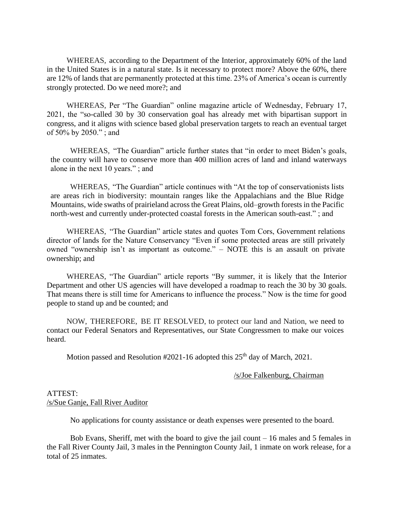WHEREAS, according to the Department of the Interior, approximately 60% of the land in the United States is in a natural state. Is it necessary to protect more? Above the 60%, there are 12% of lands that are permanently protected at this time. 23% of America's ocean is currently strongly protected. Do we need more?; and

WHEREAS, Per "The Guardian" online magazine article of Wednesday, February 17, 2021, the "so-called 30 by 30 conservation goal has already met with bipartisan support in congress, and it aligns with science based global preservation targets to reach an eventual target of 50% by 2050." ; and

WHEREAS, "The Guardian" article further states that "in order to meet Biden's goals, the country will have to conserve more than 400 million acres of land and inland waterways alone in the next 10 years." ; and

WHEREAS, "The Guardian" article continues with "At the top of conservationists lists are areas rich in biodiversity: mountain ranges like the Appalachians and the Blue Ridge Mountains, wide swaths of prairieland across the Great Plains, old–growth forests in the Pacific north-west and currently under-protected coastal forests in the American south-east." ; and

WHEREAS, "The Guardian" article states and quotes Tom Cors, Government relations director of lands for the Nature Conservancy "Even if some protected areas are still privately owned "ownership isn't as important as outcome." – NOTE this is an assault on private ownership; and

WHEREAS, "The Guardian" article reports "By summer, it is likely that the Interior Department and other US agencies will have developed a roadmap to reach the 30 by 30 goals. That means there is still time for Americans to influence the process." Now is the time for good people to stand up and be counted; and

NOW, THEREFORE, BE IT RESOLVED, to protect our land and Nation, we need to contact our Federal Senators and Representatives, our State Congressmen to make our voices heard.

Motion passed and Resolution #2021-16 adopted this 25<sup>th</sup> day of March, 2021.

#### /s/Joe Falkenburg, Chairman

### ATTEST: /s/Sue Ganje, Fall River Auditor

No applications for county assistance or death expenses were presented to the board.

Bob Evans, Sheriff, met with the board to give the jail count – 16 males and 5 females in the Fall River County Jail, 3 males in the Pennington County Jail, 1 inmate on work release, for a total of 25 inmates.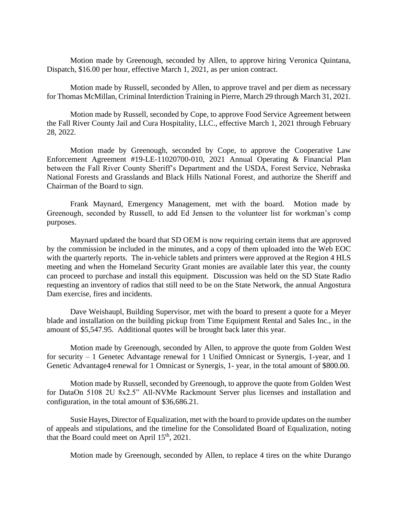Motion made by Greenough, seconded by Allen, to approve hiring Veronica Quintana, Dispatch, \$16.00 per hour, effective March 1, 2021, as per union contract.

Motion made by Russell, seconded by Allen, to approve travel and per diem as necessary for Thomas McMillan, Criminal Interdiction Training in Pierre, March 29 through March 31, 2021.

Motion made by Russell, seconded by Cope, to approve Food Service Agreement between the Fall River County Jail and Cura Hospitality, LLC., effective March 1, 2021 through February 28, 2022.

Motion made by Greenough, seconded by Cope, to approve the Cooperative Law Enforcement Agreement #19-LE-11020700-010, 2021 Annual Operating & Financial Plan between the Fall River County Sheriff's Department and the USDA, Forest Service, Nebraska National Forests and Grasslands and Black Hills National Forest, and authorize the Sheriff and Chairman of the Board to sign.

Frank Maynard, Emergency Management, met with the board. Motion made by Greenough, seconded by Russell, to add Ed Jensen to the volunteer list for workman's comp purposes.

Maynard updated the board that SD OEM is now requiring certain items that are approved by the commission be included in the minutes, and a copy of them uploaded into the Web EOC with the quarterly reports. The in-vehicle tablets and printers were approved at the Region 4 HLS meeting and when the Homeland Security Grant monies are available later this year, the county can proceed to purchase and install this equipment. Discussion was held on the SD State Radio requesting an inventory of radios that still need to be on the State Network, the annual Angostura Dam exercise, fires and incidents.

Dave Weishaupl, Building Supervisor, met with the board to present a quote for a Meyer blade and installation on the building pickup from Time Equipment Rental and Sales Inc., in the amount of \$5,547.95. Additional quotes will be brought back later this year.

Motion made by Greenough, seconded by Allen, to approve the quote from Golden West for security – 1 Genetec Advantage renewal for 1 Unified Omnicast or Synergis, 1-year, and 1 Genetic Advantage4 renewal for 1 Omnicast or Synergis, 1- year, in the total amount of \$800.00.

Motion made by Russell, seconded by Greenough, to approve the quote from Golden West for DataOn 5108 2U 8x2.5" All-NVMe Rackmount Server plus licenses and installation and configuration, in the total amount of \$36,686.21.

Susie Hayes, Director of Equalization, met with the board to provide updates on the number of appeals and stipulations, and the timeline for the Consolidated Board of Equalization, noting that the Board could meet on April 15<sup>th</sup>, 2021.

Motion made by Greenough, seconded by Allen, to replace 4 tires on the white Durango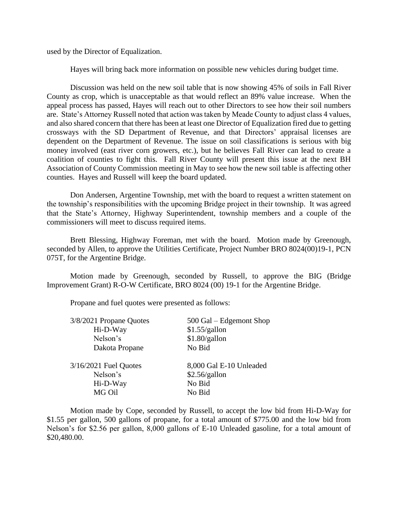used by the Director of Equalization.

Hayes will bring back more information on possible new vehicles during budget time.

Discussion was held on the new soil table that is now showing 45% of soils in Fall River County as crop, which is unacceptable as that would reflect an 89% value increase. When the appeal process has passed, Hayes will reach out to other Directors to see how their soil numbers are. State's Attorney Russell noted that action was taken by Meade County to adjust class 4 values, and also shared concern that there has been at least one Director of Equalization fired due to getting crossways with the SD Department of Revenue, and that Directors' appraisal licenses are dependent on the Department of Revenue. The issue on soil classifications is serious with big money involved (east river corn growers, etc.), but he believes Fall River can lead to create a coalition of counties to fight this. Fall River County will present this issue at the next BH Association of County Commission meeting in May to see how the new soil table is affecting other counties. Hayes and Russell will keep the board updated.

Don Andersen, Argentine Township, met with the board to request a written statement on the township's responsibilities with the upcoming Bridge project in their township. It was agreed that the State's Attorney, Highway Superintendent, township members and a couple of the commissioners will meet to discuss required items.

Brett Blessing, Highway Foreman, met with the board. Motion made by Greenough, seconded by Allen, to approve the Utilities Certificate, Project Number BRO 8024(00)19-1, PCN 075T, for the Argentine Bridge.

Motion made by Greenough, seconded by Russell, to approve the BIG (Bridge Improvement Grant) R-O-W Certificate, BRO 8024 (00) 19-1 for the Argentine Bridge.

Propane and fuel quotes were presented as follows:

| 3/8/2021 Propane Quotes | 500 Gal – Edgemont Shop |
|-------------------------|-------------------------|
| Hi-D-Way                | \$1.55/gallon           |
| Nelson's                | \$1.80/gallon           |
| Dakota Propane          | No Bid                  |
| $3/16/2021$ Fuel Quotes | 8,000 Gal E-10 Unleaded |
| Nelson's                | \$2.56/gallon           |
| Hi-D-Way                | No Bid                  |
| MG Oil                  | No Bid                  |
|                         |                         |

Motion made by Cope, seconded by Russell, to accept the low bid from Hi-D-Way for \$1.55 per gallon, 500 gallons of propane, for a total amount of \$775.00 and the low bid from Nelson's for \$2.56 per gallon, 8,000 gallons of E-10 Unleaded gasoline, for a total amount of \$20,480.00.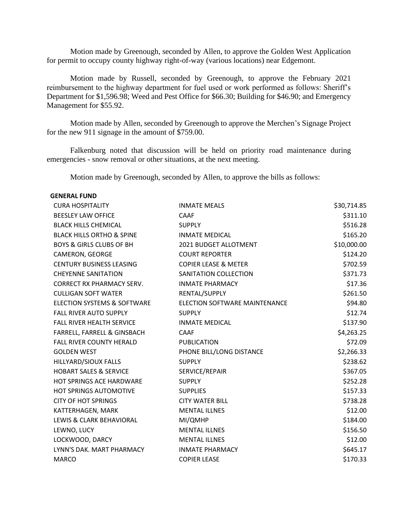Motion made by Greenough, seconded by Allen, to approve the Golden West Application for permit to occupy county highway right-of-way (various locations) near Edgemont.

Motion made by Russell, seconded by Greenough, to approve the February 2021 reimbursement to the highway department for fuel used or work performed as follows: Sheriff's Department for \$1,596.98; Weed and Pest Office for \$66.30; Building for \$46.90; and Emergency Management for \$55.92.

Motion made by Allen, seconded by Greenough to approve the Merchen's Signage Project for the new 911 signage in the amount of \$759.00.

Falkenburg noted that discussion will be held on priority road maintenance during emergencies - snow removal or other situations, at the next meeting.

Motion made by Greenough, seconded by Allen, to approve the bills as follows:

#### **GENERAL FUND**

| <b>CURA HOSPITALITY</b>                | <b>INMATE MEALS</b>             | \$30,714.85 |
|----------------------------------------|---------------------------------|-------------|
| <b>BEESLEY LAW OFFICE</b>              | CAAF                            | \$311.10    |
| <b>BLACK HILLS CHEMICAL</b>            | <b>SUPPLY</b>                   | \$516.28    |
| <b>BLACK HILLS ORTHO &amp; SPINE</b>   | <b>INMATE MEDICAL</b>           | \$165.20    |
| <b>BOYS &amp; GIRLS CLUBS OF BH</b>    | 2021 BUDGET ALLOTMENT           | \$10,000.00 |
| CAMERON, GEORGE                        | <b>COURT REPORTER</b>           | \$124.20    |
| <b>CENTURY BUSINESS LEASING</b>        | <b>COPIER LEASE &amp; METER</b> | \$702.59    |
| <b>CHEYENNE SANITATION</b>             | SANITATION COLLECTION           | \$371.73    |
| <b>CORRECT RX PHARMACY SERV.</b>       | <b>INMATE PHARMACY</b>          | \$17.36     |
| <b>CULLIGAN SOFT WATER</b>             | RENTAL/SUPPLY                   | \$261.50    |
| <b>ELECTION SYSTEMS &amp; SOFTWARE</b> | ELECTION SOFTWARE MAINTENANCE   | \$94.80     |
| FALL RIVER AUTO SUPPLY                 | <b>SUPPLY</b>                   | \$12.74     |
| FALL RIVER HEALTH SERVICE              | <b>INMATE MEDICAL</b>           | \$137.90    |
| FARRELL, FARRELL & GINSBACH            | <b>CAAF</b>                     | \$4,263.25  |
| <b>FALL RIVER COUNTY HERALD</b>        | <b>PUBLICATION</b>              | \$72.09     |
| <b>GOLDEN WEST</b>                     | PHONE BILL/LONG DISTANCE        | \$2,266.33  |
| HILLYARD/SIOUX FALLS                   | <b>SUPPLY</b>                   | \$238.62    |
| <b>HOBART SALES &amp; SERVICE</b>      | SERVICE/REPAIR                  | \$367.05    |
| <b>HOT SPRINGS ACE HARDWARE</b>        | <b>SUPPLY</b>                   | \$252.28    |
| HOT SPRINGS AUTOMOTIVE                 | <b>SUPPLIES</b>                 | \$157.33    |
| <b>CITY OF HOT SPRINGS</b>             | <b>CITY WATER BILL</b>          | \$738.28    |
| KATTERHAGEN, MARK                      | <b>MENTAL ILLNES</b>            | \$12.00     |
| LEWIS & CLARK BEHAVIORAL               | MI/QMHP                         | \$184.00    |
| LEWNO, LUCY                            | <b>MENTAL ILLNES</b>            | \$156.50    |
| LOCKWOOD, DARCY                        | <b>MENTAL ILLNES</b>            | \$12.00     |
| LYNN'S DAK. MART PHARMACY              | <b>INMATE PHARMACY</b>          | \$645.17    |
| <b>MARCO</b>                           | <b>COPIER LEASE</b>             | \$170.33    |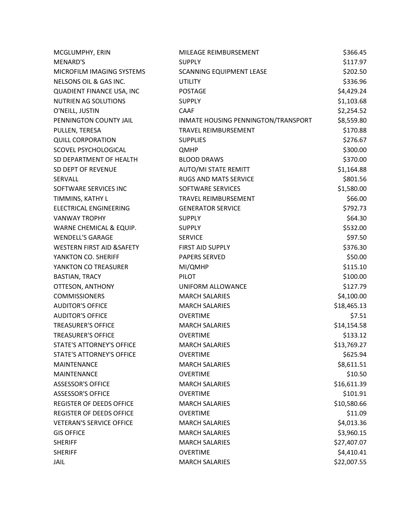| MCGLUMPHY, ERIN                       | MILEAGE REIMBURSEMENT               | \$366.45    |
|---------------------------------------|-------------------------------------|-------------|
| MENARD'S                              | <b>SUPPLY</b>                       | \$117.97    |
| MICROFILM IMAGING SYSTEMS             | <b>SCANNING EQUIPMENT LEASE</b>     | \$202.50    |
| NELSONS OIL & GAS INC.                | <b>UTILITY</b>                      | \$336.96    |
| QUADIENT FINANCE USA, INC             | <b>POSTAGE</b>                      | \$4,429.24  |
| NUTRIEN AG SOLUTIONS                  | <b>SUPPLY</b>                       | \$1,103.68  |
| O'NEILL, JUSTIN                       | <b>CAAF</b>                         | \$2,254.52  |
| PENNINGTON COUNTY JAIL                | INMATE HOUSING PENNINGTON/TRANSPORT | \$8,559.80  |
| PULLEN, TERESA                        | <b>TRAVEL REIMBURSEMENT</b>         | \$170.88    |
| <b>QUILL CORPORATION</b>              | <b>SUPPLIES</b>                     | \$276.67    |
| SCOVEL PSYCHOLOGICAL                  | <b>QMHP</b>                         | \$300.00    |
| SD DEPARTMENT OF HEALTH               | <b>BLOOD DRAWS</b>                  | \$370.00    |
| SD DEPT OF REVENUE                    | <b>AUTO/MI STATE REMITT</b>         | \$1,164.88  |
| SERVALL                               | RUGS AND MATS SERVICE               | \$801.56    |
| SOFTWARE SERVICES INC                 | SOFTWARE SERVICES                   | \$1,580.00  |
| TIMMINS, KATHY L                      | TRAVEL REIMBURSEMENT                | \$66.00     |
| ELECTRICAL ENGINEERING                | <b>GENERATOR SERVICE</b>            | \$792.73    |
| <b>VANWAY TROPHY</b>                  | <b>SUPPLY</b>                       | \$64.30     |
| WARNE CHEMICAL & EQUIP.               | <b>SUPPLY</b>                       | \$532.00    |
| <b>WENDELL'S GARAGE</b>               | <b>SERVICE</b>                      | \$97.50     |
| <b>WESTERN FIRST AID &amp; SAFETY</b> | FIRST AID SUPPLY                    | \$376.30    |
| YANKTON CO. SHERIFF                   | <b>PAPERS SERVED</b>                | \$50.00     |
| YANKTON CO TREASURER                  | MI/QMHP                             | \$115.10    |
| <b>BASTIAN, TRACY</b>                 | <b>PILOT</b>                        | \$100.00    |
| OTTESON, ANTHONY                      | UNIFORM ALLOWANCE                   | \$127.79    |
| <b>COMMISSIONERS</b>                  | <b>MARCH SALARIES</b>               | \$4,100.00  |
| <b>AUDITOR'S OFFICE</b>               | <b>MARCH SALARIES</b>               | \$18,465.13 |
| <b>AUDITOR'S OFFICE</b>               | <b>OVERTIME</b>                     | \$7.51      |
| <b>TREASURER'S OFFICE</b>             | <b>MARCH SALARIES</b>               | \$14,154.58 |
| <b>TREASURER'S OFFICE</b>             | <b>OVERTIME</b>                     | \$133.12    |
| <b>STATE'S ATTORNEY'S OFFICE</b>      | <b>MARCH SALARIES</b>               | \$13,769.27 |
| <b>STATE'S ATTORNEY'S OFFICE</b>      | <b>OVERTIME</b>                     | \$625.94    |
| <b>MAINTENANCE</b>                    | <b>MARCH SALARIES</b>               | \$8,611.51  |
| <b>MAINTENANCE</b>                    | <b>OVERTIME</b>                     | \$10.50     |
| <b>ASSESSOR'S OFFICE</b>              | <b>MARCH SALARIES</b>               | \$16,611.39 |
| <b>ASSESSOR'S OFFICE</b>              | <b>OVERTIME</b>                     | \$101.91    |
| <b>REGISTER OF DEEDS OFFICE</b>       | <b>MARCH SALARIES</b>               | \$10,580.66 |
| REGISTER OF DEEDS OFFICE              | <b>OVERTIME</b>                     | \$11.09     |
| <b>VETERAN'S SERVICE OFFICE</b>       | <b>MARCH SALARIES</b>               | \$4,013.36  |
| <b>GIS OFFICE</b>                     | <b>MARCH SALARIES</b>               | \$3,960.15  |
| <b>SHERIFF</b>                        | <b>MARCH SALARIES</b>               | \$27,407.07 |
| <b>SHERIFF</b>                        | <b>OVERTIME</b>                     | \$4,410.41  |
| JAIL                                  | <b>MARCH SALARIES</b>               | \$22,007.55 |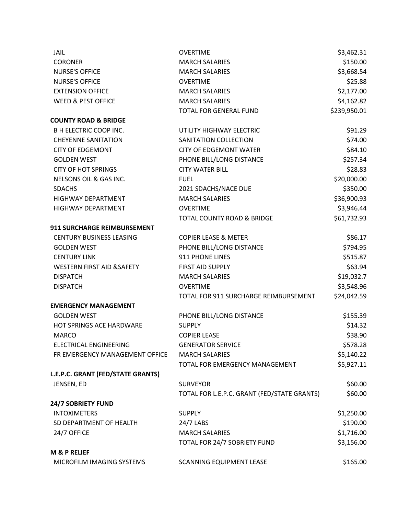| <b>JAIL</b>                           | <b>OVERTIME</b>                             | \$3,462.31   |
|---------------------------------------|---------------------------------------------|--------------|
| <b>CORONER</b>                        | <b>MARCH SALARIES</b>                       | \$150.00     |
| <b>NURSE'S OFFICE</b>                 | <b>MARCH SALARIES</b>                       | \$3,668.54   |
| <b>NURSE'S OFFICE</b>                 | <b>OVERTIME</b>                             | \$25.88      |
| <b>EXTENSION OFFICE</b>               | <b>MARCH SALARIES</b>                       | \$2,177.00   |
| <b>WEED &amp; PEST OFFICE</b>         | <b>MARCH SALARIES</b>                       | \$4,162.82   |
|                                       | <b>TOTAL FOR GENERAL FUND</b>               | \$239,950.01 |
| <b>COUNTY ROAD &amp; BRIDGE</b>       |                                             |              |
| <b>B H ELECTRIC COOP INC.</b>         | UTILITY HIGHWAY ELECTRIC                    | \$91.29      |
| <b>CHEYENNE SANITATION</b>            | SANITATION COLLECTION                       | \$74.00      |
| <b>CITY OF EDGEMONT</b>               | <b>CITY OF EDGEMONT WATER</b>               | \$84.10      |
| <b>GOLDEN WEST</b>                    | PHONE BILL/LONG DISTANCE                    | \$257.34     |
| <b>CITY OF HOT SPRINGS</b>            | <b>CITY WATER BILL</b>                      | \$28.83      |
| NELSONS OIL & GAS INC.                | <b>FUEL</b>                                 | \$20,000.00  |
| <b>SDACHS</b>                         | 2021 SDACHS/NACE DUE                        | \$350.00     |
| <b>HIGHWAY DEPARTMENT</b>             | <b>MARCH SALARIES</b>                       | \$36,900.93  |
| HIGHWAY DEPARTMENT                    | <b>OVERTIME</b>                             | \$3,946.44   |
|                                       | <b>TOTAL COUNTY ROAD &amp; BRIDGE</b>       | \$61,732.93  |
| 911 SURCHARGE REIMBURSEMENT           |                                             |              |
| <b>CENTURY BUSINESS LEASING</b>       | <b>COPIER LEASE &amp; METER</b>             | \$86.17      |
| <b>GOLDEN WEST</b>                    | PHONE BILL/LONG DISTANCE                    | \$794.95     |
| <b>CENTURY LINK</b>                   | 911 PHONE LINES                             | \$515.87     |
| <b>WESTERN FIRST AID &amp; SAFETY</b> | FIRST AID SUPPLY                            | \$63.94      |
| <b>DISPATCH</b>                       | <b>MARCH SALARIES</b>                       | \$19,032.7   |
| <b>DISPATCH</b>                       | <b>OVERTIME</b>                             | \$3,548.96   |
|                                       | TOTAL FOR 911 SURCHARGE REIMBURSEMENT       | \$24,042.59  |
| <b>EMERGENCY MANAGEMENT</b>           |                                             |              |
| <b>GOLDEN WEST</b>                    | PHONE BILL/LONG DISTANCE                    | \$155.39     |
| HOT SPRINGS ACE HARDWARE              | <b>SUPPLY</b>                               | \$14.32      |
| <b>MARCO</b>                          | <b>COPIER LEASE</b>                         | \$38.90      |
| <b>ELECTRICAL ENGINEERING</b>         | <b>GENERATOR SERVICE</b>                    | \$578.28     |
| FR EMERGENCY MANAGEMENT OFFICE        | <b>MARCH SALARIES</b>                       | \$5,140.22   |
|                                       | <b>TOTAL FOR EMERGENCY MANAGEMENT</b>       | \$5,927.11   |
| L.E.P.C. GRANT (FED/STATE GRANTS)     |                                             |              |
| JENSEN, ED                            | <b>SURVEYOR</b>                             | \$60.00      |
|                                       | TOTAL FOR L.E.P.C. GRANT (FED/STATE GRANTS) | \$60.00      |
| 24/7 SOBRIETY FUND                    |                                             |              |
| <b>INTOXIMETERS</b>                   | <b>SUPPLY</b>                               | \$1,250.00   |
| SD DEPARTMENT OF HEALTH               | 24/7 LABS                                   | \$190.00     |
| 24/7 OFFICE                           | <b>MARCH SALARIES</b>                       | \$1,716.00   |
|                                       | TOTAL FOR 24/7 SOBRIETY FUND                | \$3,156.00   |
| <b>M &amp; P RELIEF</b>               |                                             |              |
| MICROFILM IMAGING SYSTEMS             | SCANNING EQUIPMENT LEASE                    | \$165.00     |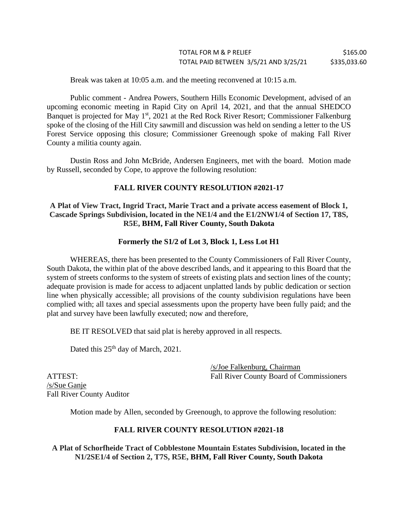Break was taken at 10:05 a.m. and the meeting reconvened at 10:15 a.m.

Public comment - Andrea Powers, Southern Hills Economic Development, advised of an upcoming economic meeting in Rapid City on April 14, 2021, and that the annual SHEDCO Banquet is projected for May 1<sup>st</sup>, 2021 at the Red Rock River Resort; Commissioner Falkenburg spoke of the closing of the Hill City sawmill and discussion was held on sending a letter to the US Forest Service opposing this closure; Commissioner Greenough spoke of making Fall River County a militia county again.

Dustin Ross and John McBride, Andersen Engineers, met with the board. Motion made by Russell, seconded by Cope, to approve the following resolution:

# **FALL RIVER COUNTY RESOLUTION #2021-17**

# **A Plat of View Tract, Ingrid Tract, Marie Tract and a private access easement of Block 1, Cascade Springs Subdivision, located in the NE1/4 and the E1/2NW1/4 of Section 17, T8S, R5E, BHM, Fall River County, South Dakota**

### **Formerly the S1/2 of Lot 3, Block 1, Less Lot H1**

WHEREAS, there has been presented to the County Commissioners of Fall River County, South Dakota, the within plat of the above described lands, and it appearing to this Board that the system of streets conforms to the system of streets of existing plats and section lines of the county; adequate provision is made for access to adjacent unplatted lands by public dedication or section line when physically accessible; all provisions of the county subdivision regulations have been complied with; all taxes and special assessments upon the property have been fully paid; and the plat and survey have been lawfully executed; now and therefore,

BE IT RESOLVED that said plat is hereby approved in all respects.

Dated this  $25<sup>th</sup>$  day of March, 2021.

/s/Joe Falkenburg, Chairman ATTEST: Fall River County Board of Commissioners

/s/Sue Ganje Fall River County Auditor

Motion made by Allen, seconded by Greenough, to approve the following resolution:

#### **FALL RIVER COUNTY RESOLUTION #2021-18**

**A Plat of Schorfheide Tract of Cobblestone Mountain Estates Subdivision, located in the N1/2SE1/4 of Section 2, T7S, R5E, BHM, Fall River County, South Dakota**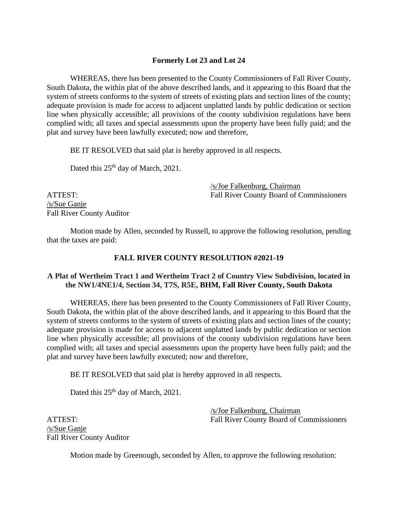# **Formerly Lot 23 and Lot 24**

WHEREAS, there has been presented to the County Commissioners of Fall River County, South Dakota, the within plat of the above described lands, and it appearing to this Board that the system of streets conforms to the system of streets of existing plats and section lines of the county; adequate provision is made for access to adjacent unplatted lands by public dedication or section line when physically accessible; all provisions of the county subdivision regulations have been complied with; all taxes and special assessments upon the property have been fully paid; and the plat and survey have been lawfully executed; now and therefore,

BE IT RESOLVED that said plat is hereby approved in all respects.

Dated this  $25<sup>th</sup>$  day of March, 2021.

/s/Joe Falkenburg, Chairman ATTEST: Fall River County Board of Commissioners

/s/Sue Ganje Fall River County Auditor

Motion made by Allen, seconded by Russell, to approve the following resolution, pending that the taxes are paid:

# **FALL RIVER COUNTY RESOLUTION #2021-19**

# **A Plat of Wertheim Tract 1 and Wertheim Tract 2 of Country View Subdivision, located in the NW1/4NE1/4, Section 34, T7S, R5E, BHM, Fall River County, South Dakota**

WHEREAS, there has been presented to the County Commissioners of Fall River County, South Dakota, the within plat of the above described lands, and it appearing to this Board that the system of streets conforms to the system of streets of existing plats and section lines of the county; adequate provision is made for access to adjacent unplatted lands by public dedication or section line when physically accessible; all provisions of the county subdivision regulations have been complied with; all taxes and special assessments upon the property have been fully paid; and the plat and survey have been lawfully executed; now and therefore,

BE IT RESOLVED that said plat is hereby approved in all respects.

Dated this  $25<sup>th</sup>$  day of March, 2021.

/s/Joe Falkenburg, Chairman ATTEST: Fall River County Board of Commissioners

/s/Sue Ganje Fall River County Auditor

Motion made by Greenough, seconded by Allen, to approve the following resolution: